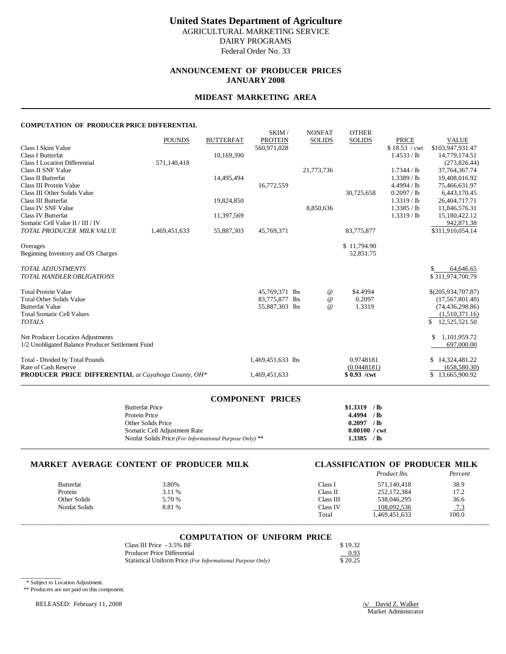# **ANNOUNCEMENT OF PRODUCER PRICES JANUARY 2008**

### **MIDEAST MARKETING AREA**

### **COMPUTATION OF PRODUCER PRICE DIFFERENTIAL**

|                                                            | <b>POUNDS</b> | <b>BUTTERFAT</b> | SKIM/<br><b>PROTEIN</b> | <b>NONFAT</b><br><b>SOLIDS</b> | <b>OTHER</b><br><b>SOLIDS</b> | <b>PRICE</b>  | <b>VALUE</b>        |
|------------------------------------------------------------|---------------|------------------|-------------------------|--------------------------------|-------------------------------|---------------|---------------------|
| Class I Skim Value                                         |               |                  | 560,971,028             |                                |                               | \$18.53 / cwt | \$103,947,931.47    |
| <b>Class I Butterfat</b>                                   |               | 10,169,390       |                         |                                |                               | 1.4533 / lb   | 14,779,174.51       |
| <b>Class I Location Differential</b>                       | 571,140,418   |                  |                         |                                |                               |               | (273,826.44)        |
| Class II SNF Value                                         |               |                  |                         | 21,773,736                     |                               | 1.7344 / lb   | 37, 764, 367. 74    |
| Class II Butterfat                                         |               | 14,495,494       |                         |                                |                               | $1.3389$ / lb | 19,408,016.92       |
| Class III Protein Value                                    |               |                  | 16,772,559              |                                |                               | 4.4994 / lb   | 75,466,631.97       |
| Class III Other Solids Value                               |               |                  |                         |                                | 30,725,658                    | 0.2097 / lb   | 6,443,170.45        |
| <b>Class III Butterfat</b>                                 |               | 19,824,850       |                         |                                |                               | $1.3319$ / lb | 26,404,717.71       |
| Class IV SNF Value                                         |               |                  |                         | 8,850,636                      |                               | 1.3385 / lb   | 11,846,576.31       |
| <b>Class IV Butterfat</b>                                  |               | 11,397,569       |                         |                                |                               | $1.3319$ / lb | 15,180,422.12       |
| Somatic Cell Value II / III / IV                           |               |                  |                         |                                |                               |               | 942,871.38          |
| TOTAL PRODUCER MILK VALUE                                  | 1,469,451,633 | 55,887,303       | 45,769,371              |                                | 83,775,877                    |               | \$311,910,054.14    |
| Overages                                                   |               |                  |                         |                                | \$11,794.90                   |               |                     |
| Beginning Inventory and OS Charges                         |               |                  |                         |                                | 52,851.75                     |               |                     |
|                                                            |               |                  |                         |                                |                               |               |                     |
| <b>TOTAL ADJUSTMENTS</b>                                   |               |                  |                         |                                |                               |               | 64,646.65           |
| <b>TOTAL HANDLER OBLIGATIONS</b>                           |               |                  |                         |                                |                               |               | \$311,974,700.79    |
| <b>Total Protein Value</b>                                 |               |                  | 45,769,371 lbs          | $^{\,a}$                       | \$4.4994                      |               | \$(205,934,707.87)  |
| <b>Total Other Solids Value</b>                            |               |                  | 83,775,877 lbs          | $^{\copyright}$                | 0.2097                        |               | (17, 567, 801.40)   |
| <b>Butterfat Value</b>                                     |               |                  | 55,887,303 lbs          | $^{\omega}{}$                  | 1.3319                        |               | (74, 436, 298.86)   |
| <b>Total Somatic Cell Values</b>                           |               |                  |                         |                                |                               |               | (1,510,371.16)      |
| <b>TOTALS</b>                                              |               |                  |                         |                                |                               |               | S.<br>12,525,521.50 |
| Net Producer Location Adjustments                          |               |                  |                         |                                |                               |               | 1,101,959.72<br>\$  |
| 1/2 Unobligated Balance Producer Settlement Fund           |               |                  |                         |                                |                               |               | 697,000.00          |
| Total - Divided by Total Pounds                            |               |                  | 1,469,451,633 lbs       |                                | 0.9748181                     |               | 14,324,481.22<br>S. |
| Rate of Cash Reserve                                       |               |                  |                         |                                | (0.0448181)                   |               | (658, 580.30)       |
| <b>PRODUCER PRICE DIFFERENTIAL</b> at Cuyahoga County, OH* |               |                  | 1,469,451,633           |                                | $$0.93$ /cwt                  |               | \$13,665,900.92     |
|                                                            |               |                  |                         |                                |                               |               |                     |

| <b>COMPONENT PRICES</b>                                 |                        |
|---------------------------------------------------------|------------------------|
| <b>Butterfat Price</b>                                  | $$1.3319$ /lb          |
| Protein Price                                           | $4.4994$ /lb           |
| Other Solids Price                                      | $0.2097$ /lb           |
| Somatic Cell Adjustment Rate                            | $0.00100 / \text{cwt}$ |
| Nonfat Solids Price (For Informational Purpose Only) ** | $1.3385$ /lb           |
|                                                         |                        |

# **MARKET AVERAGE CONTENT OF PRODUCER MILK CLASSIFICATION OF PRODUCER MILK**

# *Product lbs. Percent*

| <b>Butterfat</b> | 3.80%  | Class l   | 571.140.418   | 38.9  |
|------------------|--------|-----------|---------------|-------|
| Protein          | 3.11 % | Class II  | 252,172,384   | 17.2  |
| Other Solids     | 5.70 % | Class III | 538,046,295   | 36.6  |
| Nonfat Solids    | 8.81 % | Class IV  | 108.092.536   | 7.3   |
|                  |        | Total     | 1,469,451,633 | 100.0 |

# \_\_\_\_\_\_\_\_\_\_\_\_\_\_\_\_\_\_\_\_\_\_\_\_\_\_\_\_\_\_\_\_\_\_\_\_\_\_\_\_\_\_\_\_\_\_\_\_\_\_\_\_\_\_\_\_\_\_\_\_\_\_\_\_\_\_\_\_\_\_\_\_\_\_\_\_\_\_\_\_\_\_\_\_\_\_\_\_\_\_\_\_\_\_\_\_\_\_\_\_\_\_\_\_\_\_\_\_\_\_\_\_\_\_\_\_\_\_\_\_\_\_\_\_\_\_\_\_\_\_\_\_\_\_\_\_\_\_\_ **COMPUTATION OF UNIFORM PRICE**

| Class III Price - 3.5% BF                                  | \$19.32 |
|------------------------------------------------------------|---------|
| Producer Price Differential                                | 0.93    |
| Statistical Uniform Price (For Informational Purpose Only) | \$20.25 |

\* Subject to Location Adjustment.

\_\_\_\_\_\_\_\_\_\_\_\_

\*\* Producers are not paid on this component.

RELEASED: February 11, 2008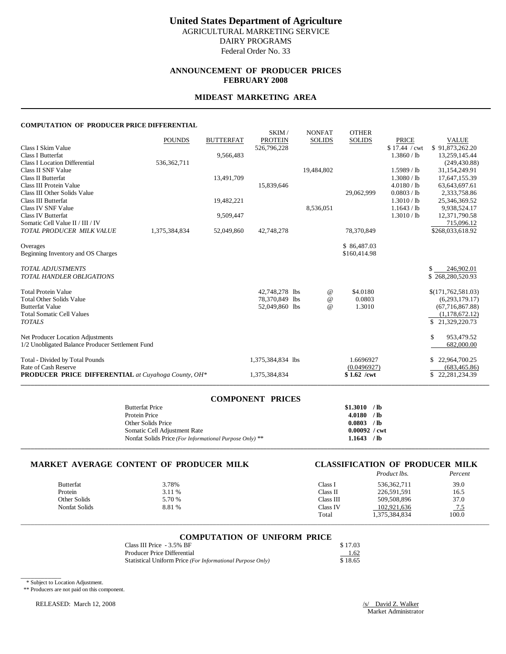# **ANNOUNCEMENT OF PRODUCER PRICES FEBRUARY 2008**

# **MIDEAST MARKETING AREA**

### **COMPUTATION OF PRODUCER PRICE DIFFERENTIAL**

|                                                            | <b>POUNDS</b> | <b>BUTTERFAT</b> | SKIM/<br><b>PROTEIN</b> | <b>NONFAT</b><br><b>SOLIDS</b> | <b>OTHER</b><br><b>SOLIDS</b> | <b>PRICE</b>  | <b>VALUE</b>        |
|------------------------------------------------------------|---------------|------------------|-------------------------|--------------------------------|-------------------------------|---------------|---------------------|
| Class I Skim Value                                         |               |                  | 526,796,228             |                                |                               | \$17.44 / cwt | \$91,873,262.20     |
| <b>Class I Butterfat</b>                                   |               | 9,566,483        |                         |                                |                               | 1.3860 / lb   | 13,259,145.44       |
| <b>Class I Location Differential</b>                       | 536, 362, 711 |                  |                         |                                |                               |               | (249, 430.88)       |
| Class II SNF Value                                         |               |                  |                         | 19,484,802                     |                               | $1.5989$ / lb | 31,154,249.91       |
| Class II Butterfat                                         |               | 13,491,709       |                         |                                |                               | 1.3080 / lb   | 17,647,155.39       |
| Class III Protein Value                                    |               |                  | 15,839,646              |                                |                               | 4.0180 / lb   | 63,643,697.61       |
| Class III Other Solids Value                               |               |                  |                         |                                | 29,062,999                    | 0.0803 / lb   | 2,333,758.86        |
| <b>Class III Butterfat</b>                                 |               | 19,482,221       |                         |                                |                               | 1.3010 / lb   | 25,346,369.52       |
| Class IV SNF Value                                         |               |                  |                         | 8,536,051                      |                               | 1.1643 / lb   | 9.938.524.17        |
| Class IV Butterfat                                         |               | 9,509,447        |                         |                                |                               | 1.3010 / lb   | 12,371,790.58       |
| Somatic Cell Value II / III / IV                           |               |                  |                         |                                |                               |               | 715,096.12          |
| TOTAL PRODUCER MILK VALUE                                  | 1,375,384,834 | 52,049,860       | 42,748,278              |                                | 78,370,849                    |               | \$268,033,618.92    |
| Overages                                                   |               |                  |                         |                                | \$86,487.03                   |               |                     |
| Beginning Inventory and OS Charges                         |               |                  |                         |                                | \$160,414.98                  |               |                     |
|                                                            |               |                  |                         |                                |                               |               |                     |
| <b>TOTAL ADJUSTMENTS</b>                                   |               |                  |                         |                                |                               |               | \$<br>246,902.01    |
| <b>TOTAL HANDLER OBLIGATIONS</b>                           |               |                  |                         |                                |                               |               | \$268,280,520.93    |
| <b>Total Protein Value</b>                                 |               |                  | 42,748,278 lbs          | $^{\,a}$                       | \$4.0180                      |               | \$(171,762,581.03)  |
| <b>Total Other Solids Value</b>                            |               |                  | 78,370,849 lbs          | $^{\copyright}$                | 0.0803                        |               | (6,293,179.17)      |
| <b>Butterfat Value</b>                                     |               |                  | 52,049,860 lbs          | $^{\omega}{}$                  | 1.3010                        |               | (67, 716, 867.88)   |
| <b>Total Somatic Cell Values</b>                           |               |                  |                         |                                |                               |               | (1,178,672,12)      |
| <b>TOTALS</b>                                              |               |                  |                         |                                |                               |               | \$21,329,220.73     |
|                                                            |               |                  |                         |                                |                               |               |                     |
| Net Producer Location Adjustments                          |               |                  |                         |                                |                               |               | \$.<br>953,479.52   |
| 1/2 Unobligated Balance Producer Settlement Fund           |               |                  |                         |                                |                               |               | 682,000.00          |
| Total - Divided by Total Pounds                            |               |                  | 1,375,384,834 lbs       |                                | 1.6696927                     |               | 22,964,700.25<br>S. |
| Rate of Cash Reserve                                       |               |                  |                         |                                | (0.0496927)                   |               | (683, 465.86)       |
| <b>PRODUCER PRICE DIFFERENTIAL</b> at Cuyahoga County, OH* |               |                  | 1,375,384,834           |                                | $$1.62$ /cwt                  |               | \$22,281,234.39     |
|                                                            |               |                  |                         |                                |                               |               |                     |

| <b>COMPONENT PRICES</b>                                 |                        |
|---------------------------------------------------------|------------------------|
| <b>Butterfat Price</b>                                  | $$1.3010$ /lb          |
| Protein Price                                           | 4.0180 / lb            |
| Other Solids Price                                      | $0.0803$ /lb           |
| Somatic Cell Adjustment Rate                            | $0.00092 / \text{cwt}$ |
| Nonfat Solids Price (For Informational Purpose Only) ** | $1.1643$ /lb           |
|                                                         |                        |

### **MARKET AVERAGE CONTENT OF PRODUCER MILK CLASSIFICATION OF PRODUCER MILK**

# *Product lbs. Percent*

| <b>Butterfat</b> | 3.78%  | Class 1   | 536, 362, 711 | 39.0                       |
|------------------|--------|-----------|---------------|----------------------------|
| Protein          | 3.11 % | Class II  | 226,591,591   | 16.5                       |
| Other Solids     | 5.70 % | Class III | 509.508.896   | 37.0                       |
| Nonfat Solids    | 8.81 % | Class IV  | 102,921,636   | $\sim$ $\sim$<br><u>75</u> |
|                  |        | Total     | 1,375,384,834 | 100.0                      |

# \_\_\_\_\_\_\_\_\_\_\_\_\_\_\_\_\_\_\_\_\_\_\_\_\_\_\_\_\_\_\_\_\_\_\_\_\_\_\_\_\_\_\_\_\_\_\_\_\_\_\_\_\_\_\_\_\_\_\_\_\_\_\_\_\_\_\_\_\_\_\_\_\_\_\_\_\_\_\_\_\_\_\_\_\_\_\_\_\_\_\_\_\_\_\_\_\_\_\_\_\_\_\_\_\_\_\_\_\_\_\_\_\_\_\_\_\_\_\_\_\_\_\_\_\_\_\_\_\_\_\_\_\_\_\_\_\_\_\_ **COMPUTATION OF UNIFORM PRICE**

| Class III Price - 3.5% BF                                  | \$17.03 |
|------------------------------------------------------------|---------|
| Producer Price Differential                                | 1.62    |
| Statistical Uniform Price (For Informational Purpose Only) | \$18.65 |

\* Subject to Location Adjustment.

\_\_\_\_\_\_\_\_\_\_\_\_

\*\* Producers are not paid on this component.

RELEASED: March 12, 2008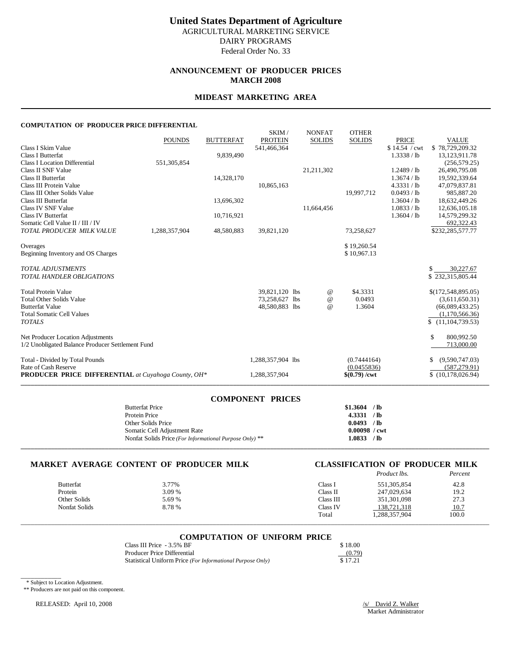# **ANNOUNCEMENT OF PRODUCER PRICES MARCH 2008**

# **MIDEAST MARKETING AREA**

### **COMPUTATION OF PRODUCER PRICE DIFFERENTIAL**

|                                                            |               |                  | SKIM/             | <b>NONFAT</b> | <b>OTHER</b>           |               |                         |
|------------------------------------------------------------|---------------|------------------|-------------------|---------------|------------------------|---------------|-------------------------|
|                                                            | <b>POUNDS</b> | <b>BUTTERFAT</b> | <b>PROTEIN</b>    | <b>SOLIDS</b> | <b>SOLIDS</b>          | <b>PRICE</b>  | <b>VALUE</b>            |
| Class I Skim Value                                         |               |                  | 541,466,364       |               |                        | \$14.54 / cwt | \$78,729,209.32         |
| <b>Class I Butterfat</b>                                   |               | 9,839,490        |                   |               |                        | 1.3338 / lb   | 13,123,911.78           |
| <b>Class I Location Differential</b>                       | 551,305,854   |                  |                   |               |                        |               | (256, 579.25)           |
| Class II SNF Value                                         |               |                  |                   | 21,211,302    |                        | $1.2489$ / lb | 26,490,795.08           |
| Class II Butterfat                                         |               | 14,328,170       |                   |               |                        | 1.3674 / lb   | 19,592,339.64           |
| Class III Protein Value                                    |               |                  | 10,865,163        |               |                        | 4.3331 / lb   | 47,079,837.81           |
| Class III Other Solids Value                               |               |                  |                   |               | 19,997,712             | 0.0493 / lb   | 985,887.20              |
| Class III Butterfat                                        |               | 13,696,302       |                   |               |                        | 1.3604 / lb   | 18,632,449.26           |
| Class IV SNF Value                                         |               |                  |                   | 11,664,456    |                        | 1.0833 / lb   | 12,636,105.18           |
| <b>Class IV Butterfat</b>                                  |               | 10,716,921       |                   |               |                        | 1.3604 / lb   | 14,579,299.32           |
| Somatic Cell Value II / III / IV                           |               |                  |                   |               |                        |               | 692,322.43              |
| TOTAL PRODUCER MILK VALUE                                  | 1,288,357,904 | 48,580,883       | 39,821,120        |               | 73,258,627             |               | \$232,285,577.77        |
|                                                            |               |                  |                   |               |                        |               |                         |
| Overages                                                   |               |                  |                   |               | \$19,260.54            |               |                         |
| Beginning Inventory and OS Charges                         |               |                  |                   |               | \$10,967.13            |               |                         |
| <b>TOTAL ADJUSTMENTS</b>                                   |               |                  |                   |               |                        |               | \$.<br>30,227.67        |
| <b>TOTAL HANDLER OBLIGATIONS</b>                           |               |                  |                   |               |                        |               | \$232,315,805.44        |
|                                                            |               |                  |                   |               |                        |               |                         |
| <b>Total Protein Value</b>                                 |               |                  | 39,821,120 lbs    | @             | \$4.3331               |               | \$(172,548,895.05)      |
| <b>Total Other Solids Value</b>                            |               |                  | 73,258,627 lbs    | $\omega$      | 0.0493                 |               | (3,611,650.31)          |
| <b>Butterfat Value</b>                                     |               |                  | 48,580,883 lbs    | $\omega$      | 1.3604                 |               | (66,089,433.25)         |
| <b>Total Somatic Cell Values</b>                           |               |                  |                   |               |                        |               | (1,170,566.36)          |
| <b>TOTALS</b>                                              |               |                  |                   |               |                        |               | (11, 104, 739.53)<br>\$ |
|                                                            |               |                  |                   |               |                        |               |                         |
| Net Producer Location Adjustments                          |               |                  |                   |               |                        |               | \$.<br>800,992.50       |
| 1/2 Unobligated Balance Producer Settlement Fund           |               |                  |                   |               |                        |               | 713,000.00              |
| Total - Divided by Total Pounds                            |               |                  | 1,288,357,904 lbs |               | (0.7444164)            |               | (9,590,747.03)<br>S     |
| Rate of Cash Reserve                                       |               |                  |                   |               | (0.0455836)            |               | (587, 279.91)           |
| <b>PRODUCER PRICE DIFFERENTIAL</b> at Cuyahoga County, OH* |               |                  | 1,288,357,904     |               | $$(0.79) / \text{cwt}$ |               | \$(10,178,026.94)       |
|                                                            |               |                  |                   |               |                        |               |                         |

| <b>COMPONENT PRICES</b>                                 |                        |
|---------------------------------------------------------|------------------------|
| <b>Butterfat Price</b>                                  | $$1.3604$ /lb          |
| Protein Price                                           | $4.3331$ /lb           |
| Other Solids Price                                      | $0.0493$ /lb           |
| Somatic Cell Adjustment Rate                            | $0.00098 / \text{cwt}$ |
| Nonfat Solids Price (For Informational Purpose Only) ** | 1.0833 /lb             |
|                                                         |                        |

### **MARKET AVERAGE CONTENT OF PRODUCER MILK CLASSIFICATION OF PRODUCER MILK**

# *Product lbs. Percent*

| <b>Butterfat</b> | 3.77%  | Class 1   | 551,305,854   | 42.8  |
|------------------|--------|-----------|---------------|-------|
| Protein          | 3.09 % | Class II  | 247.029.634   | 19.2  |
| Other Solids     | 5.69 % | Class III | 351,301,098   | 27.3  |
| Nonfat Solids    | 8.78 % | Class IV  | 138.721.318   | 10.7  |
|                  |        | Total     | 1,288,357,904 | 100.0 |

# \_\_\_\_\_\_\_\_\_\_\_\_\_\_\_\_\_\_\_\_\_\_\_\_\_\_\_\_\_\_\_\_\_\_\_\_\_\_\_\_\_\_\_\_\_\_\_\_\_\_\_\_\_\_\_\_\_\_\_\_\_\_\_\_\_\_\_\_\_\_\_\_\_\_\_\_\_\_\_\_\_\_\_\_\_\_\_\_\_\_\_\_\_\_\_\_\_\_\_\_\_\_\_\_\_\_\_\_\_\_\_\_\_\_\_\_\_\_\_\_\_\_\_\_\_\_\_\_\_\_\_\_\_\_\_\_\_\_\_ **COMPUTATION OF UNIFORM PRICE**

| Class III Price - 3.5% BF                                  | \$18.00 |
|------------------------------------------------------------|---------|
| Producer Price Differential                                | (0.79)  |
| Statistical Uniform Price (For Informational Purpose Only) | \$17.21 |

\* Subject to Location Adjustment.

\_\_\_\_\_\_\_\_\_\_\_\_

\*\* Producers are not paid on this component.

RELEASED: April 10, 2008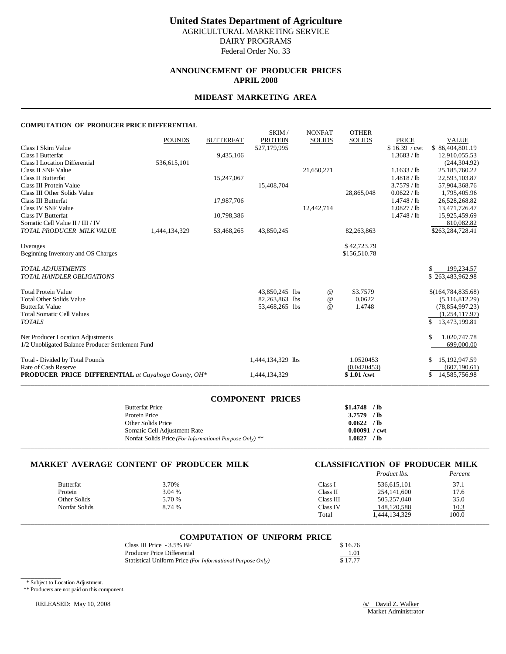Federal Order No. 33

# **ANNOUNCEMENT OF PRODUCER PRICES APRIL 2008**

### **MIDEAST MARKETING AREA**

### **COMPUTATION OF PRODUCER PRICE DIFFERENTIAL**

|                                                            | <b>POUNDS</b> | <b>BUTTERFAT</b> | SKIM/<br><b>PROTEIN</b> | <b>NONFAT</b><br><b>SOLIDS</b> | <b>OTHER</b><br><b>SOLIDS</b> | <b>PRICE</b>  | <b>VALUE</b>         |
|------------------------------------------------------------|---------------|------------------|-------------------------|--------------------------------|-------------------------------|---------------|----------------------|
| Class I Skim Value                                         |               |                  | 527,179,995             |                                |                               | \$16.39 / cwt | \$86,404,801.19      |
| <b>Class I Butterfat</b>                                   |               | 9,435,106        |                         |                                |                               | 1.3683 / lb   | 12,910,055.53        |
| <b>Class I Location Differential</b>                       | 536,615,101   |                  |                         |                                |                               |               | (244, 304.92)        |
| Class II SNF Value                                         |               |                  |                         | 21,650,271                     |                               | 1.1633 / lb   | 25,185,760.22        |
| Class II Butterfat                                         |               | 15,247,067       |                         |                                |                               | 1.4818 / lb   | 22,593,103.87        |
| Class III Protein Value                                    |               |                  | 15,408,704              |                                |                               | 3.7579 / lb   | 57,904,368.76        |
| Class III Other Solids Value                               |               |                  |                         |                                | 28,865,048                    | 0.0622 / lb   | 1,795,405.96         |
| <b>Class III Butterfat</b>                                 |               | 17,987,706       |                         |                                |                               | 1.4748 / lb   | 26,528,268.82        |
| Class IV SNF Value                                         |               |                  |                         | 12,442,714                     |                               | 1.0827 / lb   | 13,471,726.47        |
| <b>Class IV Butterfat</b>                                  |               | 10,798,386       |                         |                                |                               | 1.4748 / lb   | 15,925,459.69        |
| Somatic Cell Value II / III / IV                           |               |                  |                         |                                |                               |               | 810,082.82           |
| TOTAL PRODUCER MILK VALUE                                  | 1,444,134,329 | 53,468,265       | 43,850,245              |                                | 82,263,863                    |               | \$263,284,728.41     |
| Overages                                                   |               |                  |                         |                                | \$42,723.79                   |               |                      |
| Beginning Inventory and OS Charges                         |               |                  |                         |                                | \$156,510.78                  |               |                      |
|                                                            |               |                  |                         |                                |                               |               |                      |
| <b>TOTAL ADJUSTMENTS</b>                                   |               |                  |                         |                                |                               |               | \$<br>199,234.57     |
| <b>TOTAL HANDLER OBLIGATIONS</b>                           |               |                  |                         |                                |                               |               | \$263,483,962.98     |
|                                                            |               |                  |                         |                                |                               |               |                      |
| <b>Total Protein Value</b>                                 |               |                  | 43,850,245 lbs          | $^{\,a}$                       | \$3.7579                      |               | \$(164, 784, 835.68) |
| <b>Total Other Solids Value</b>                            |               |                  | 82,263,863 lbs          | $^{\copyright}$                | 0.0622                        |               | (5,116,812.29)       |
| <b>Butterfat Value</b>                                     |               |                  | 53,468,265 lbs          | $^{\omega}{}$                  | 1.4748                        |               | (78, 854, 997.23)    |
| <b>Total Somatic Cell Values</b>                           |               |                  |                         |                                |                               |               | (1,254,117.97)       |
| <b>TOTALS</b>                                              |               |                  |                         |                                |                               |               | S.<br>13,473,199.81  |
| Net Producer Location Adjustments                          |               |                  |                         |                                |                               |               | \$.<br>1,020,747.78  |
| 1/2 Unobligated Balance Producer Settlement Fund           |               |                  |                         |                                |                               |               | 699,000.00           |
|                                                            |               |                  |                         |                                |                               |               |                      |
| Total - Divided by Total Pounds                            |               |                  | 1,444,134,329 lbs       |                                | 1.0520453                     |               | 15, 192, 947.59<br>S |
| Rate of Cash Reserve                                       |               |                  |                         |                                | (0.0420453)                   |               | (607, 190.61)        |
| <b>PRODUCER PRICE DIFFERENTIAL</b> at Cuyahoga County, OH* |               |                  | 1,444,134,329           |                                | \$1.01/cwt                    |               | 14,585,756.98<br>\$  |
|                                                            |               |                  |                         |                                |                               |               |                      |

| <b>COMPONENT PRICES</b>                                 |                        |
|---------------------------------------------------------|------------------------|
| <b>Butterfat Price</b>                                  | $$1.4748$ /lb          |
| Protein Price                                           | $3.7579$ /lb           |
| Other Solids Price                                      | $0.0622$ /lb           |
| Somatic Cell Adjustment Rate                            | $0.00091 / \text{cwt}$ |
| Nonfat Solids Price (For Informational Purpose Only) ** | 1.0827 /lb             |
|                                                         |                        |

### **MARKET AVERAGE CONTENT OF PRODUCER MILK CLASSIFICATION OF PRODUCER MILK**

# *Product lbs. Percent*

| <b>Butterfat</b> | 3.70%  | Class 1   | 536,615,101   | 37.1  |
|------------------|--------|-----------|---------------|-------|
| Protein          | 3.04 % | Class II  | 254,141,600   | 17.6  |
| Other Solids     | 5.70 % | Class III | 505.257.040   | 35.0  |
| Nonfat Solids    | 8.74 % | Class IV  | 148.120.588   | 10.3  |
|                  |        | Total     | 1,444,134,329 | 100.0 |
|                  |        |           |               |       |

# \_\_\_\_\_\_\_\_\_\_\_\_\_\_\_\_\_\_\_\_\_\_\_\_\_\_\_\_\_\_\_\_\_\_\_\_\_\_\_\_\_\_\_\_\_\_\_\_\_\_\_\_\_\_\_\_\_\_\_\_\_\_\_\_\_\_\_\_\_\_\_\_\_\_\_\_\_\_\_\_\_\_\_\_\_\_\_\_\_\_\_\_\_\_\_\_\_\_\_\_\_\_\_\_\_\_\_\_\_\_\_\_\_\_\_\_\_\_\_\_\_\_\_\_\_\_\_\_\_\_\_\_\_\_\_\_\_\_\_ **COMPUTATION OF UNIFORM PRICE**

| Class III Price - 3.5% BF                                  | \$16.76 |
|------------------------------------------------------------|---------|
| Producer Price Differential                                | 1.01    |
| Statistical Uniform Price (For Informational Purpose Only) | \$17.77 |

\* Subject to Location Adjustment.

\_\_\_\_\_\_\_\_\_\_\_\_

\*\* Producers are not paid on this component.

RELEASED: May 10, 2008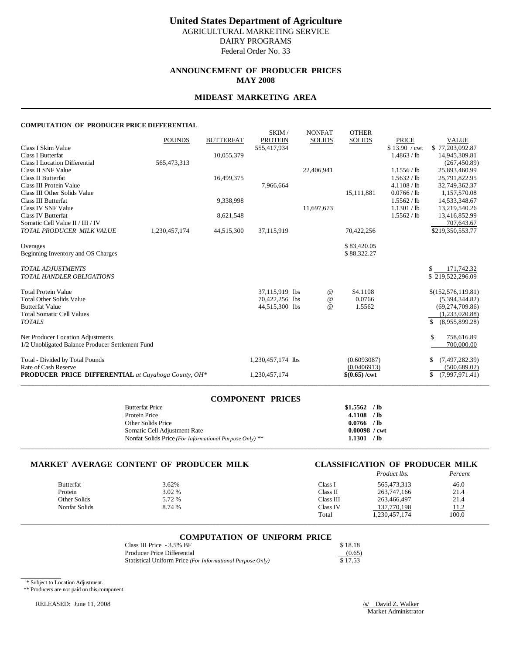# **United States Department of Agriculture**

AGRICULTURAL MARKETING SERVICE DAIRY PROGRAMS

Federal Order No. 33

# **ANNOUNCEMENT OF PRODUCER PRICES MAY 2008**

### **MIDEAST MARKETING AREA**

### **COMPUTATION OF PRODUCER PRICE DIFFERENTIAL**

|                                                            | <b>POUNDS</b> | <b>BUTTERFAT</b> | SKIM/<br><b>PROTEIN</b> | <b>NONFAT</b><br><b>SOLIDS</b> | <b>OTHER</b><br><b>SOLIDS</b> | <b>PRICE</b>  | <b>VALUE</b>         |
|------------------------------------------------------------|---------------|------------------|-------------------------|--------------------------------|-------------------------------|---------------|----------------------|
| Class I Skim Value                                         |               |                  | 555,417,934             |                                |                               | \$13.90 / cwt | \$77,203,092.87      |
| <b>Class I Butterfat</b>                                   |               | 10,055,379       |                         |                                |                               | 1.4863 / lb   | 14,945,309.81        |
| <b>Class I Location Differential</b>                       | 565,473,313   |                  |                         |                                |                               |               | (267, 450.89)        |
| Class II SNF Value                                         |               |                  |                         | 22,406,941                     |                               | 1.1556 / lb   | 25,893,460.99        |
| Class II Butterfat                                         |               | 16,499,375       |                         |                                |                               | 1.5632 / lb   | 25,791,822.95        |
| Class III Protein Value                                    |               |                  | 7,966,664               |                                |                               | 4.1108 / lb   | 32,749,362.37        |
| Class III Other Solids Value                               |               |                  |                         |                                | 15,111,881                    | 0.0766 / lb   | 1,157,570.08         |
| <b>Class III Butterfat</b>                                 |               | 9,338,998        |                         |                                |                               | 1.5562 / lb   | 14,533,348.67        |
| Class IV SNF Value                                         |               |                  |                         | 11,697,673                     |                               | 1.1301 / lb   | 13,219,540.26        |
| <b>Class IV Butterfat</b>                                  |               | 8,621,548        |                         |                                |                               | 1.5562 / lb   | 13,416,852.99        |
| Somatic Cell Value II / III / IV                           |               |                  |                         |                                |                               |               | 707.643.67           |
| TOTAL PRODUCER MILK VALUE                                  | 1,230,457,174 | 44,515,300       | 37,115,919              |                                | 70,422,256                    |               | \$219,350,553.77     |
| Overages                                                   |               |                  |                         |                                | \$83,420.05                   |               |                      |
| Beginning Inventory and OS Charges                         |               |                  |                         |                                | \$88,322.27                   |               |                      |
|                                                            |               |                  |                         |                                |                               |               |                      |
| <b>TOTAL ADJUSTMENTS</b>                                   |               |                  |                         |                                |                               |               | \$171,742.32         |
| <b>TOTAL HANDLER OBLIGATIONS</b>                           |               |                  |                         |                                |                               |               | \$219,522,296.09     |
|                                                            |               |                  |                         |                                |                               |               |                      |
| <b>Total Protein Value</b>                                 |               |                  | 37.115.919 lbs          | $^{\,a}$                       | \$4.1108                      |               | \$(152,576,119.81)   |
| <b>Total Other Solids Value</b>                            |               |                  | 70,422,256 lbs          | $^{\copyright}$                | 0.0766                        |               | (5,394,344.82)       |
| <b>Butterfat Value</b>                                     |               |                  | 44,515,300 lbs          | $^{\omega}{}$                  | 1.5562                        |               | (69, 274, 709.86)    |
| <b>Total Somatic Cell Values</b>                           |               |                  |                         |                                |                               |               | (1,233,020.88)       |
| <b>TOTALS</b>                                              |               |                  |                         |                                |                               |               | \$<br>(8,955,899.28) |
| Net Producer Location Adjustments                          |               |                  |                         |                                |                               |               | \$.<br>758,616.89    |
| 1/2 Unobligated Balance Producer Settlement Fund           |               |                  |                         |                                |                               |               | 700,000.00           |
|                                                            |               |                  |                         |                                |                               |               |                      |
| Total - Divided by Total Pounds                            |               |                  | 1,230,457,174 lbs       |                                | (0.6093087)                   |               | (7,497,282,39)       |
| Rate of Cash Reserve                                       |               |                  |                         |                                | (0.0406913)                   |               | (500, 689.02)        |
| <b>PRODUCER PRICE DIFFERENTIAL</b> at Cuyahoga County, OH* |               |                  | 1,230,457,174           |                                | $$(0.65) / \text{cwt}$        |               | (7,997,971.41)<br>\$ |
|                                                            |               |                  |                         |                                |                               |               |                      |

| <b>COMPONENT PRICES</b>                                 |                        |
|---------------------------------------------------------|------------------------|
| <b>Butterfat Price</b>                                  | $$1.5562$ /lb          |
| Protein Price                                           | $4.1108$ /lb           |
| Other Solids Price                                      | $0.0766$ /lb           |
| Somatic Cell Adjustment Rate                            | $0.00098 / \text{cwt}$ |
| Nonfat Solids Price (For Informational Purpose Only) ** | 1.1301 / lb            |
|                                                         |                        |

### **MARKET AVERAGE CONTENT OF PRODUCER MILK CLASSIFICATION OF PRODUCER MILK**

# *Product lbs. Percent*

|               |        |           | .             | ______ |
|---------------|--------|-----------|---------------|--------|
| Butterfat     | 3.62%  | Class 1   | 565.473.313   | 46.0   |
| Protein       | 3.02 % | Class II  | 263, 747, 166 | 21.4   |
| Other Solids  | 5.72 % | Class III | 263.466.497   | 21.4   |
| Nonfat Solids | 8.74 % | Class IV  | 137.770.198   | 11.2   |
|               |        | Total     | 1,230,457,174 | 100.0  |
|               |        |           |               |        |

# \_\_\_\_\_\_\_\_\_\_\_\_\_\_\_\_\_\_\_\_\_\_\_\_\_\_\_\_\_\_\_\_\_\_\_\_\_\_\_\_\_\_\_\_\_\_\_\_\_\_\_\_\_\_\_\_\_\_\_\_\_\_\_\_\_\_\_\_\_\_\_\_\_\_\_\_\_\_\_\_\_\_\_\_\_\_\_\_\_\_\_\_\_\_\_\_\_\_\_\_\_\_\_\_\_\_\_\_\_\_\_\_\_\_\_\_\_\_\_\_\_\_\_\_\_\_\_\_\_\_\_\_\_\_\_\_\_\_\_ **COMPUTATION OF UNIFORM PRICE**

| Class III Price - 3.5% BF                                  | \$18.18 |
|------------------------------------------------------------|---------|
| Producer Price Differential                                | (0.65)  |
| Statistical Uniform Price (For Informational Purpose Only) | \$17.53 |

\* Subject to Location Adjustment.

\_\_\_\_\_\_\_\_\_\_\_\_

\*\* Producers are not paid on this component.

RELEASED: June 11, 2008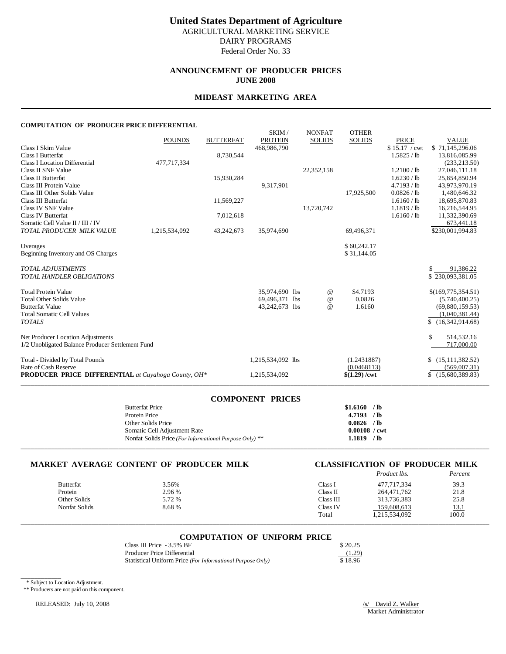# **United States Department of Agriculture** AGRICULTURAL MARKETING SERVICE

DAIRY PROGRAMS Federal Order No. 33

# **ANNOUNCEMENT OF PRODUCER PRICES JUNE 2008**

# **MIDEAST MARKETING AREA**

### **COMPUTATION OF PRODUCER PRICE DIFFERENTIAL**

|                                                            | <b>POUNDS</b> | <b>BUTTERFAT</b> | SKIM/<br><b>PROTEIN</b> | <b>NONFAT</b><br><b>SOLIDS</b> | <b>OTHER</b><br><b>SOLIDS</b> | <b>PRICE</b>  | <b>VALUE</b>             |
|------------------------------------------------------------|---------------|------------------|-------------------------|--------------------------------|-------------------------------|---------------|--------------------------|
| Class I Skim Value                                         |               |                  | 468,986,790             |                                |                               | \$15.17 / cwt | \$71,145,296.06          |
| <b>Class I Butterfat</b>                                   |               | 8,730,544        |                         |                                |                               | 1.5825 / lb   | 13,816,085.99            |
| <b>Class I Location Differential</b>                       | 477,717,334   |                  |                         |                                |                               |               | (233, 213.50)            |
| Class II SNF Value                                         |               |                  |                         | 22,352,158                     |                               | 1.2100 / lb   | 27,046,111.18            |
| Class II Butterfat                                         |               | 15,930,284       |                         |                                |                               | 1.6230 / lb   | 25,854,850.94            |
| Class III Protein Value                                    |               |                  | 9,317,901               |                                |                               | 4.7193 / lb   | 43,973,970.19            |
| Class III Other Solids Value                               |               |                  |                         |                                | 17,925,500                    | 0.0826 / lb   | 1,480,646.32             |
| <b>Class III Butterfat</b>                                 |               | 11,569,227       |                         |                                |                               | 1.6160 / lb   | 18,695,870.83            |
| Class IV SNF Value                                         |               |                  |                         | 13,720,742                     |                               | $1.1819$ / lb | 16,216,544.95            |
| <b>Class IV Butterfat</b>                                  |               | 7,012,618        |                         |                                |                               | 1.6160 / lb   | 11,332,390.69            |
| Somatic Cell Value II / III / IV                           |               |                  |                         |                                |                               |               | 673,441.18               |
| TOTAL PRODUCER MILK VALUE                                  | 1,215,534,092 | 43,242,673       | 35,974,690              |                                | 69,496,371                    |               | \$230,001,994.83         |
| Overages                                                   |               |                  |                         |                                | \$60,242.17                   |               |                          |
| Beginning Inventory and OS Charges                         |               |                  |                         |                                | \$31,144.05                   |               |                          |
|                                                            |               |                  |                         |                                |                               |               |                          |
| <b>TOTAL ADJUSTMENTS</b>                                   |               |                  |                         |                                |                               |               | 91,386.22<br>S.          |
| <b>TOTAL HANDLER OBLIGATIONS</b>                           |               |                  |                         |                                |                               |               | \$230.093.381.05         |
| <b>Total Protein Value</b>                                 |               |                  | 35.974.690 lbs          | $^{\,a}$                       | \$4.7193                      |               | \$(169,775,354.51)       |
| <b>Total Other Solids Value</b>                            |               |                  | 69,496,371 lbs          | $^{\copyright}$                | 0.0826                        |               | (5,740,400.25)           |
| <b>Butterfat Value</b>                                     |               |                  | 43,242,673 lbs          | $^{\omega}{}$                  | 1.6160                        |               | (69,880,159.53)          |
| <b>Total Somatic Cell Values</b>                           |               |                  |                         |                                |                               |               | (1,040,381.44)           |
| <b>TOTALS</b>                                              |               |                  |                         |                                |                               |               | \$(16,342,914.68)        |
|                                                            |               |                  |                         |                                |                               |               |                          |
| Net Producer Location Adjustments                          |               |                  |                         |                                |                               |               | \$<br>514,532.16         |
| 1/2 Unobligated Balance Producer Settlement Fund           |               |                  |                         |                                |                               |               | 717,000.00               |
| Total - Divided by Total Pounds                            |               |                  | 1,215,534,092 lbs       |                                | (1.2431887)                   |               | (15, 111, 382, 52)<br>\$ |
| Rate of Cash Reserve                                       |               |                  |                         |                                | (0.0468113)                   |               | (569,007.31)             |
| <b>PRODUCER PRICE DIFFERENTIAL</b> at Cuyahoga County, OH* |               |                  | 1,215,534,092           |                                | $$(1.29) / \text{cwt}$        |               | \$(15,680,389.83)        |
|                                                            |               |                  |                         |                                |                               |               |                          |

| <b>COMPONENT PRICES</b>                                 |                 |
|---------------------------------------------------------|-----------------|
| <b>Butterfat Price</b>                                  | $$1.6160$ /lb   |
| Protein Price                                           | $4.7193$ /lb    |
| Other Solids Price                                      | $0.0826$ /lb    |
| Somatic Cell Adjustment Rate                            | $0.00108$ / cwt |
| Nonfat Solids Price (For Informational Purpose Only) ** | $1.1819$ /lb    |
|                                                         |                 |

# **MARKET AVERAGE CONTENT OF PRODUCER MILK CLASSIFICATION OF PRODUCER MILK**<br>Product lbs. Percent

|                  |        |           | <i>Product lbs.</i> | Percent     |
|------------------|--------|-----------|---------------------|-------------|
| <b>Butterfat</b> | 3.56%  | Class 1   | 477.717.334         | 39.3        |
| Protein          | 2.96 % | Class II  | 264,471,762         | 21.8        |
| Other Solids     | 5.72 % | Class III | 313,736,383         | 25.8        |
| Nonfat Solids    | 8.68 % | Class IV  | 159,608,613         | <u>13.1</u> |
|                  |        | Total     | 1,215,534,092       | 100.0       |

# \_\_\_\_\_\_\_\_\_\_\_\_\_\_\_\_\_\_\_\_\_\_\_\_\_\_\_\_\_\_\_\_\_\_\_\_\_\_\_\_\_\_\_\_\_\_\_\_\_\_\_\_\_\_\_\_\_\_\_\_\_\_\_\_\_\_\_\_\_\_\_\_\_\_\_\_\_\_\_\_\_\_\_\_\_\_\_\_\_\_\_\_\_\_\_\_\_\_\_\_\_\_\_\_\_\_\_\_\_\_\_\_\_\_\_\_\_\_\_\_\_\_\_\_\_\_\_\_\_\_\_\_\_\_\_\_\_\_\_ **COMPUTATION OF UNIFORM PRICE**

| Class III Price - 3.5% BF                                  | \$20.25 |
|------------------------------------------------------------|---------|
| Producer Price Differential                                | (1.29)  |
| Statistical Uniform Price (For Informational Purpose Only) | \$18.96 |

\* Subject to Location Adjustment.

\_\_\_\_\_\_\_\_\_\_\_\_

\*\* Producers are not paid on this component.

RELEASED: July 10, 2008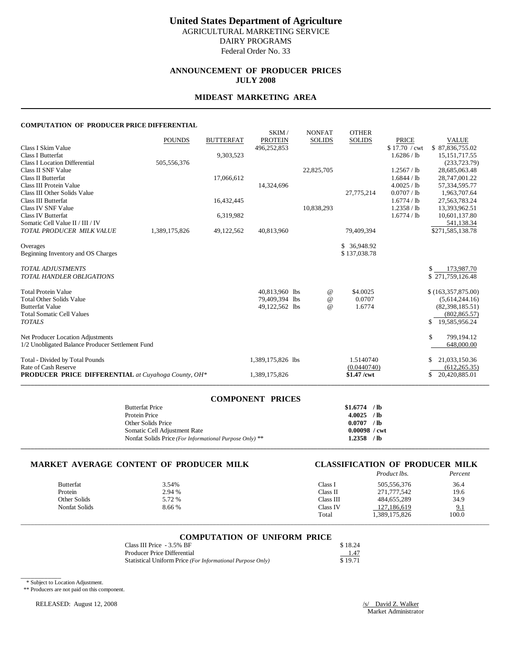# **United States Department of Agriculture** AGRICULTURAL MARKETING SERVICE

DAIRY PROGRAMS Federal Order No. 33

# **ANNOUNCEMENT OF PRODUCER PRICES JULY 2008**

### **MIDEAST MARKETING AREA**

### **COMPUTATION OF PRODUCER PRICE DIFFERENTIAL**

|                                                            | <b>POUNDS</b> | <b>BUTTERFAT</b> | SKIM/<br><b>PROTEIN</b> | <b>NONFAT</b><br><b>SOLIDS</b> | <b>OTHER</b><br><b>SOLIDS</b> | <b>PRICE</b>  | <b>VALUE</b>                          |
|------------------------------------------------------------|---------------|------------------|-------------------------|--------------------------------|-------------------------------|---------------|---------------------------------------|
| Class I Skim Value                                         |               |                  | 496,252,853             |                                |                               | \$17.70 / cwt | \$87,836,755.02                       |
| <b>Class I Butterfat</b>                                   |               | 9,303,523        |                         |                                |                               | 1.6286 / lb   | 15, 151, 717.55                       |
| <b>Class I Location Differential</b>                       | 505,556,376   |                  |                         |                                |                               |               | (233, 723, 79)                        |
| Class II SNF Value                                         |               |                  |                         | 22,825,705                     |                               | 1.2567 / lb   | 28,685,063.48                         |
| Class II Butterfat                                         |               | 17,066,612       |                         |                                |                               | 1.6844 / lb   | 28,747,001.22                         |
| Class III Protein Value                                    |               |                  | 14,324,696              |                                |                               | 4.0025 / lb   | 57,334,595.77                         |
| Class III Other Solids Value                               |               |                  |                         |                                | 27,775,214                    | 0.0707 / lb   | 1,963,707.64                          |
| <b>Class III Butterfat</b>                                 |               | 16,432,445       |                         |                                |                               | 1.6774 / lb   | 27, 563, 783. 24                      |
| Class IV SNF Value                                         |               |                  |                         | 10.838.293                     |                               | 1.2358 / lb   | 13,393,962.51                         |
| <b>Class IV Butterfat</b>                                  |               | 6,319,982        |                         |                                |                               | 1.6774 / lb   | 10,601,137.80                         |
| Somatic Cell Value II / III / IV                           |               |                  |                         |                                |                               |               | 541,138.34                            |
| TOTAL PRODUCER MILK VALUE                                  | 1,389,175,826 | 49,122,562       | 40,813,960              |                                | 79,409,394                    |               | \$271,585,138.78                      |
| Overages                                                   |               |                  |                         |                                | \$ 36,948.92                  |               |                                       |
| Beginning Inventory and OS Charges                         |               |                  |                         |                                | \$137,038.78                  |               |                                       |
|                                                            |               |                  |                         |                                |                               |               |                                       |
| <b>TOTAL ADJUSTMENTS</b>                                   |               |                  |                         |                                |                               |               | \$173,987.70                          |
| <b>TOTAL HANDLER OBLIGATIONS</b>                           |               |                  |                         |                                |                               |               | \$271,759,126.48                      |
|                                                            |               |                  |                         |                                |                               |               |                                       |
| <b>Total Protein Value</b>                                 |               |                  | 40.813.960 lbs          | $^{\,a}$                       | \$4.0025                      |               | \$(163,357,875.00)                    |
| <b>Total Other Solids Value</b>                            |               |                  | 79,409,394 lbs          | $^{\copyright}$                | 0.0707                        |               | (5,614,244.16)                        |
| <b>Butterfat Value</b>                                     |               |                  | 49,122,562 lbs          | $^{\omega}{}$                  | 1.6774                        |               | (82, 398, 185.51)                     |
| <b>Total Somatic Cell Values</b>                           |               |                  |                         |                                |                               |               | (802, 865.57)                         |
| <b>TOTALS</b>                                              |               |                  |                         |                                |                               |               | S<br>19,585,956.24                    |
| Net Producer Location Adjustments                          |               |                  |                         |                                |                               |               | \$<br>799,194.12                      |
| 1/2 Unobligated Balance Producer Settlement Fund           |               |                  |                         |                                |                               |               | 648,000.00                            |
|                                                            |               |                  |                         |                                |                               |               |                                       |
| Total - Divided by Total Pounds<br>Rate of Cash Reserve    |               |                  | 1,389,175,826 lbs       |                                | 1.5140740<br>(0.0440740)      |               | 21,033,150.36<br>\$<br>(612, 265, 35) |
| <b>PRODUCER PRICE DIFFERENTIAL</b> at Cuyahoga County, OH* |               |                  | 1,389,175,826           |                                | \$1.47 /cwt                   |               | 20,420,885.01<br>\$.                  |
|                                                            |               |                  |                         |                                |                               |               |                                       |

| <b>COMPONENT PRICES</b>                                 |                        |  |
|---------------------------------------------------------|------------------------|--|
| <b>Butterfat Price</b>                                  | $$1.6774$ /lb          |  |
| Protein Price                                           | $4.0025$ /lb           |  |
| Other Solids Price                                      | 0.0707 / lb            |  |
| Somatic Cell Adjustment Rate                            | $0.00098 / \text{cwt}$ |  |
| Nonfat Solids Price (For Informational Purpose Only) ** | $1.2358$ /lb           |  |
|                                                         |                        |  |

# **MARKET AVERAGE CONTENT OF PRODUCER MILK CLASSIFICATION OF PRODUCER MILK**<br>Product lbs. Percent

|                  |        |           | <i>Product lbs.</i> | Percent |
|------------------|--------|-----------|---------------------|---------|
| <b>Butterfat</b> | 3.54%  | Class l   | 505,556,376         | 36.4    |
| Protein          | 2.94 % | Class II  | 271,777,542         | 19.6    |
| Other Solids     | 5.72 % | Class III | 484,655,289         | 34.9    |
| Nonfat Solids    | 8.66 % | Class IV  | 127,186,619         | 9.1     |
|                  |        | Total     | 1,389,175,826       | 100.0   |

# \_\_\_\_\_\_\_\_\_\_\_\_\_\_\_\_\_\_\_\_\_\_\_\_\_\_\_\_\_\_\_\_\_\_\_\_\_\_\_\_\_\_\_\_\_\_\_\_\_\_\_\_\_\_\_\_\_\_\_\_\_\_\_\_\_\_\_\_\_\_\_\_\_\_\_\_\_\_\_\_\_\_\_\_\_\_\_\_\_\_\_\_\_\_\_\_\_\_\_\_\_\_\_\_\_\_\_\_\_\_\_\_\_\_\_\_\_\_\_\_\_\_\_\_\_\_\_\_\_\_\_\_\_\_\_\_\_\_\_ **COMPUTATION OF UNIFORM PRICE**

| Class III Price - 3.5% BF                                  | \$18.24 |
|------------------------------------------------------------|---------|
| <b>Producer Price Differential</b>                         | 1.47    |
| Statistical Uniform Price (For Informational Purpose Only) | \$19.71 |

\* Subject to Location Adjustment.

\_\_\_\_\_\_\_\_\_\_\_\_

\*\* Producers are not paid on this component.

RELEASED: August 12, 2008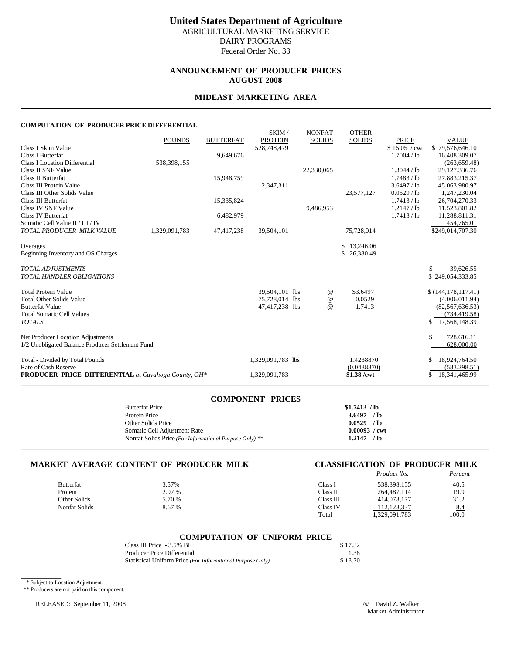# **ANNOUNCEMENT OF PRODUCER PRICES AUGUST 2008**

### **MIDEAST MARKETING AREA**

### **COMPUTATION OF PRODUCER PRICE DIFFERENTIAL**

|                                                              | <b>POUNDS</b> | <b>BUTTERFAT</b> | SKIM/<br><b>PROTEIN</b> | <b>NONFAT</b><br><b>SOLIDS</b> | <b>OTHER</b><br><b>SOLIDS</b> | <b>PRICE</b>  | <b>VALUE</b>                        |
|--------------------------------------------------------------|---------------|------------------|-------------------------|--------------------------------|-------------------------------|---------------|-------------------------------------|
| Class I Skim Value                                           |               |                  | 528,748,479             |                                |                               | \$15.05 / cwt | \$79,576,646.10                     |
| <b>Class I Butterfat</b>                                     |               | 9,649,676        |                         |                                |                               | 1.7004 / lb   | 16,408,309.07                       |
| <b>Class I Location Differential</b>                         | 538,398,155   |                  |                         |                                |                               |               | (263, 659.48)                       |
| Class II SNF Value                                           |               |                  |                         | 22,330,065                     |                               | 1.3044 / lb   | 29,127,336.76                       |
| Class II Butterfat                                           |               | 15,948,759       |                         |                                |                               | 1.7483 / lb   | 27,883,215.37                       |
| Class III Protein Value                                      |               |                  | 12,347,311              |                                |                               | 3.6497 / lb   | 45,063,980.97                       |
| Class III Other Solids Value                                 |               |                  |                         |                                | 23,577,127                    | $0.0529$ / lb | 1,247,230.04                        |
| <b>Class III Butterfat</b>                                   |               | 15,335,824       |                         |                                |                               | 1.7413 / lb   | 26,704,270.33                       |
| Class IV SNF Value                                           |               |                  |                         | 9.486.953                      |                               | $1.2147$ / lb | 11,523,801.82                       |
| <b>Class IV Butterfat</b>                                    |               | 6,482,979        |                         |                                |                               | 1.7413 / lb   | 11,288,811.31                       |
| Somatic Cell Value II / III / IV                             |               |                  |                         |                                |                               |               | 454,765.01                          |
| TOTAL PRODUCER MILK VALUE                                    | 1,329,091,783 | 47,417,238       | 39,504,101              |                                | 75,728,014                    |               | \$249,014,707.30                    |
| Overages                                                     |               |                  |                         |                                | \$13,246.06                   |               |                                     |
| Beginning Inventory and OS Charges                           |               |                  |                         |                                | \$26,380.49                   |               |                                     |
| <b>TOTAL ADJUSTMENTS</b><br><b>TOTAL HANDLER OBLIGATIONS</b> |               |                  |                         |                                |                               |               | \$<br>39,626.55<br>\$249,054,333.85 |
| <b>Total Protein Value</b>                                   |               |                  | 39,504,101 lbs          | $^{\,a}$                       | \$3.6497                      |               | \$(144,178,117.41)                  |
| <b>Total Other Solids Value</b>                              |               |                  | 75,728,014 lbs          | $^{\copyright}$                | 0.0529                        |               | (4,006,011.94)                      |
| <b>Butterfat Value</b>                                       |               |                  | 47,417,238 lbs          | $^{\omega}{}$                  | 1.7413                        |               | (82, 567, 636.53)                   |
| <b>Total Somatic Cell Values</b>                             |               |                  |                         |                                |                               |               | (734, 419.58)                       |
| <b>TOTALS</b>                                                |               |                  |                         |                                |                               |               | S<br>17,568,148.39                  |
| Net Producer Location Adjustments                            |               |                  |                         |                                |                               |               | \$<br>728,616.11                    |
| 1/2 Unobligated Balance Producer Settlement Fund             |               |                  |                         |                                |                               |               | 628,000.00                          |
| Total - Divided by Total Pounds                              |               |                  | 1,329,091,783 lbs       |                                | 1.4238870                     |               | 18,924,764.50<br>S                  |
| Rate of Cash Reserve                                         |               |                  |                         |                                | (0.0438870)                   |               | (583, 298.51)                       |
| <b>PRODUCER PRICE DIFFERENTIAL</b> at Cuyahoga County, OH*   |               |                  | 1,329,091,783           |                                | \$1.38 /cwt                   |               | 18,341,465.99<br>\$.                |
|                                                              |               |                  |                         |                                |                               |               |                                     |

| <b>COMPONENT PRICES</b>                                 |                        |
|---------------------------------------------------------|------------------------|
| <b>Butterfat Price</b>                                  | \$1.7413 / lb          |
| Protein Price                                           | $3.6497$ /lb           |
| Other Solids Price                                      | $0.0529$ /lb           |
| Somatic Cell Adjustment Rate                            | $0.00093 / \text{cwt}$ |
| Nonfat Solids Price (For Informational Purpose Only) ** | $1.2147$ /lb           |
|                                                         |                        |

### **MARKET AVERAGE CONTENT OF PRODUCER MILK CLASSIFICATION OF PRODUCER MILK**

|         |                  |        |           | Product lbs.  | Percent |
|---------|------------------|--------|-----------|---------------|---------|
|         | <b>Butterfat</b> | 3.57%  | Class I   | 538,398,155   | 40.5    |
| Protein |                  | 2.97 % | Class II  | 264,487,114   | 19.9    |
|         | Other Solids     | 5.70 % | Class III | 414,078,177   | 31.2    |
|         | Nonfat Solids    | 8.67 % | Class IV  | 112,128,337   | 8.4     |
|         |                  |        | Total     | 1,329,091,783 | 100.0   |

# \_\_\_\_\_\_\_\_\_\_\_\_\_\_\_\_\_\_\_\_\_\_\_\_\_\_\_\_\_\_\_\_\_\_\_\_\_\_\_\_\_\_\_\_\_\_\_\_\_\_\_\_\_\_\_\_\_\_\_\_\_\_\_\_\_\_\_\_\_\_\_\_\_\_\_\_\_\_\_\_\_\_\_\_\_\_\_\_\_\_\_\_\_\_\_\_\_\_\_\_\_\_\_\_\_\_\_\_\_\_\_\_\_\_\_\_\_\_\_\_\_\_\_\_\_\_\_\_\_\_\_\_\_\_\_\_\_\_\_ **COMPUTATION OF UNIFORM PRICE**

| Class III Price - 3.5% BF                                  | \$17.32 |
|------------------------------------------------------------|---------|
| Producer Price Differential                                | 1.38    |
| Statistical Uniform Price (For Informational Purpose Only) | \$18.70 |

\* Subject to Location Adjustment.

\_\_\_\_\_\_\_\_\_\_\_\_

\*\* Producers are not paid on this component.

RELEASED: September 11, 2008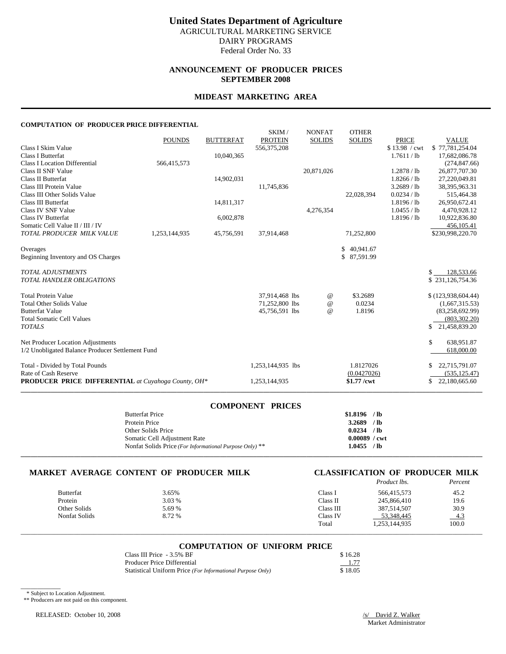### **ANNOUNCEMENT OF PRODUCER PRICES SEPTEMBER 2008**

### **MIDEAST MARKETING AREA**

#### **COMPUTATION OF PRODUCER PRICE DIFFERENTIAL**

|                                                            |               |                  | SKIM/             | <b>NONFAT</b> | <b>OTHER</b>  |               |                            |
|------------------------------------------------------------|---------------|------------------|-------------------|---------------|---------------|---------------|----------------------------|
|                                                            | <b>POUNDS</b> | <b>BUTTERFAT</b> | <b>PROTEIN</b>    | <b>SOLIDS</b> | <b>SOLIDS</b> | <b>PRICE</b>  | <b>VALUE</b>               |
| Class I Skim Value                                         |               |                  | 556,375,208       |               |               | \$13.98 / cwt | \$77,781,254.04            |
| Class I Butterfat                                          |               | 10,040,365       |                   |               |               | 1.7611 / lb   | 17,682,086.78              |
| <b>Class I Location Differential</b>                       | 566,415,573   |                  |                   |               |               |               | (274, 847.66)              |
| Class II SNF Value                                         |               |                  |                   | 20,871,026    |               | 1.2878 / lb   | 26,877,707.30              |
| Class II Butterfat                                         |               | 14,902,031       |                   |               |               | 1.8266 / lb   | 27,220,049.81              |
| Class III Protein Value                                    |               |                  | 11,745,836        |               |               | 3.2689 / lb   | 38,395,963.31              |
| Class III Other Solids Value                               |               |                  |                   |               | 22,028,394    | 0.0234 / lb   | 515,464.38                 |
| Class III Butterfat                                        |               | 14,811,317       |                   |               |               | 1.8196 / lb   | 26,950,672.41              |
| Class IV SNF Value                                         |               |                  |                   | 4,276,354     |               | 1.0455 / lb   | 4,470,928.12               |
| <b>Class IV Butterfat</b>                                  |               | 6,002,878        |                   |               |               | 1.8196 / lb   | 10,922,836.80              |
| Somatic Cell Value II / III / IV                           |               |                  |                   |               |               |               | 456,105.41                 |
| TOTAL PRODUCER MILK VALUE                                  | 1,253,144,935 | 45,756,591       | 37,914,468        |               | 71,252,800    |               | \$230,998,220.70           |
|                                                            |               |                  |                   |               |               |               |                            |
| Overages                                                   |               |                  |                   |               | \$40,941.67   |               |                            |
| Beginning Inventory and OS Charges                         |               |                  |                   |               | \$87,591.99   |               |                            |
| <b>TOTAL ADJUSTMENTS</b>                                   |               |                  |                   |               |               |               | $\mathbb{S}$<br>128,533.66 |
| <b>TOTAL HANDLER OBLIGATIONS</b>                           |               |                  |                   |               |               |               | \$231,126,754.36           |
|                                                            |               |                  |                   |               |               |               |                            |
| <b>Total Protein Value</b>                                 |               |                  | 37,914,468 lbs    | $^{\omega}{}$ | \$3.2689      |               | \$(123,938,604.44)         |
| <b>Total Other Solids Value</b>                            |               |                  | 71,252,800 lbs    | $\omega$      | 0.0234        |               | (1,667,315.53)             |
| <b>Butterfat Value</b>                                     |               |                  | 45,756,591 lbs    | $\omega$      | 1.8196        |               | (83, 258, 692.99)          |
| <b>Total Somatic Cell Values</b>                           |               |                  |                   |               |               |               | (803, 302, 20)             |
| <b>TOTALS</b>                                              |               |                  |                   |               |               |               | 21,458,839.20<br>S.        |
|                                                            |               |                  |                   |               |               |               |                            |
| Net Producer Location Adjustments                          |               |                  |                   |               |               |               | \$<br>638,951.87           |
| 1/2 Unobligated Balance Producer Settlement Fund           |               |                  |                   |               |               |               | 618,000.00                 |
| Total - Divided by Total Pounds                            |               |                  | 1,253,144,935 lbs |               | 1.8127026     |               | 22,715,791.07<br>S         |
| Rate of Cash Reserve                                       |               |                  |                   |               | (0.0427026)   |               | (535, 125.47)              |
| <b>PRODUCER PRICE DIFFERENTIAL</b> at Cuyahoga County, OH* |               |                  | 1,253,144,935     |               | $$1.77$ /cwt  |               | \$<br>22,180,665.60        |
|                                                            |               |                  |                   |               |               |               |                            |

#### **COMPONENT PRICES**

| <b>Butterfat Price</b>                                  | \$1.8196               | $/$ lb |
|---------------------------------------------------------|------------------------|--------|
| Protein Price                                           | 3.2689                 | $/$ lb |
| Other Solids Price                                      | 0.0234                 | $/$ lb |
| Somatic Cell Adjustment Rate                            | $0.00089 / \text{cwt}$ |        |
| Nonfat Solids Price (For Informational Purpose Only) ** | 1.0455                 | $/$ lb |
|                                                         |                        |        |

# **MARKET AVERAGE CONTENT OF PRODUCER MILK CLASSIFICATION OF PRODUCER MILK**

|                  |        |           | <i>Product lbs.</i> | Percent |
|------------------|--------|-----------|---------------------|---------|
| <b>Butterfat</b> | 3.65%  | Class I   | 566.415.573         | 45.2    |
| Protein          | 3.03 % | Class II  | 245,866,410         | 19.6    |
| Other Solids     | 5.69 % | Class III | 387,514,507         | 30.9    |
| Nonfat Solids    | 8.72 % | Class IV  | 53,348,445          | $-4.3$  |
|                  |        | Total     | 1,253,144,935       | 100.0   |

# \_\_\_\_\_\_\_\_\_\_\_\_\_\_\_\_\_\_\_\_\_\_\_\_\_\_\_\_\_\_\_\_\_\_\_\_\_\_\_\_\_\_\_\_\_\_\_\_\_\_\_\_\_\_\_\_\_\_\_\_\_\_\_\_\_\_\_\_\_\_\_\_\_\_\_\_\_\_\_\_\_\_\_\_\_\_\_\_\_\_\_\_\_\_\_\_\_\_\_\_\_\_\_\_\_\_\_\_\_\_\_\_\_\_\_\_\_\_\_\_\_\_\_\_\_\_\_\_\_\_\_\_\_\_\_\_\_\_\_ **COMPUTATION OF UNIFORM PRICE**

| Class III Price - 3.5% BF                                  | \$16.28 |
|------------------------------------------------------------|---------|
| Producer Price Differential                                | 1.77    |
| Statistical Uniform Price (For Informational Purpose Only) | \$18.05 |

\* Subject to Location Adjustment.

 $\overline{\phantom{a}}$   $\overline{\phantom{a}}$   $\overline{\phantom{a}}$   $\overline{\phantom{a}}$   $\overline{\phantom{a}}$   $\overline{\phantom{a}}$   $\overline{\phantom{a}}$   $\overline{\phantom{a}}$   $\overline{\phantom{a}}$   $\overline{\phantom{a}}$   $\overline{\phantom{a}}$   $\overline{\phantom{a}}$   $\overline{\phantom{a}}$   $\overline{\phantom{a}}$   $\overline{\phantom{a}}$   $\overline{\phantom{a}}$   $\overline{\phantom{a}}$   $\overline{\phantom{a}}$   $\overline{\$ 

\*\* Producers are not paid on this component.

RELEASED: October 10, 2008 /s/ David Z. Walker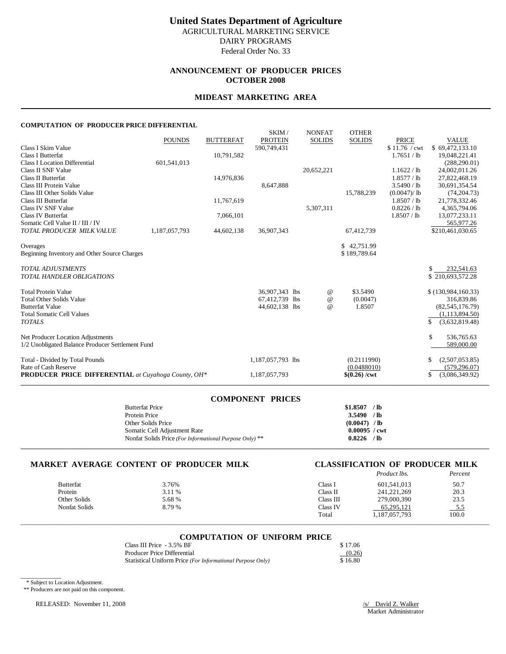# **ANNOUNCEMENT OF PRODUCER PRICES OCTOBER 2008**

# **MIDEAST MARKETING AREA**

### **COMPUTATION OF PRODUCER PRICE DIFFERENTIAL**

|                                                            | <b>POUNDS</b> | <b>BUTTERFAT</b> | SKIM/<br><b>PROTEIN</b> | <b>NONFAT</b><br><b>SOLIDS</b> | <b>OTHER</b><br><b>SOLIDS</b> | <b>PRICE</b>  | <b>VALUE</b>         |
|------------------------------------------------------------|---------------|------------------|-------------------------|--------------------------------|-------------------------------|---------------|----------------------|
| Class I Skim Value                                         |               |                  | 590.749.431             |                                |                               | \$11.76 / cwt | \$69.472,133.10      |
| Class I Butterfat                                          |               | 10,791,582       |                         |                                |                               | 1.7651 / lb   | 19,048,221.41        |
| <b>Class I Location Differential</b>                       | 601,541,013   |                  |                         |                                |                               |               | (288, 290.01)        |
| Class II SNF Value                                         |               |                  |                         | 20,652,221                     |                               | 1.1622 / lb   | 24,002,011.26        |
| Class II Butterfat                                         |               | 14,976,836       |                         |                                |                               | 1.8577 / lb   | 27,822,468.19        |
| Class III Protein Value                                    |               |                  | 8,647,888               |                                |                               | 3.5490 / lb   | 30,691,354.54        |
| Class III Other Solids Value                               |               |                  |                         |                                | 15,788,239                    | (0.0047)/lb   | (74, 204, 73)        |
| <b>Class III Butterfat</b>                                 |               | 11,767,619       |                         |                                |                               | 1.8507 / lb   | 21,778,332.46        |
| Class IV SNF Value                                         |               |                  |                         | 5,307,311                      |                               | 0.8226 / lb   | 4,365,794.06         |
| Class IV Butterfat                                         |               | 7,066,101        |                         |                                |                               | 1.8507 / lb   | 13,077,233.11        |
| Somatic Cell Value II / III / IV                           |               |                  |                         |                                |                               |               | 565,977.26           |
| TOTAL PRODUCER MILK VALUE                                  | 1,187,057,793 | 44,602,138       | 36,907,343              |                                | 67,412,739                    |               | \$210,461,030.65     |
|                                                            |               |                  |                         |                                | \$42,751.99                   |               |                      |
| Overages<br>Beginning Inventory and Other Source Charges   |               |                  |                         |                                | \$189,789.64                  |               |                      |
|                                                            |               |                  |                         |                                |                               |               |                      |
| <b>TOTAL ADJUSTMENTS</b>                                   |               |                  |                         |                                |                               |               | \$<br>232,541.63     |
| <b>TOTAL HANDLER OBLIGATIONS</b>                           |               |                  |                         |                                |                               |               | \$210.693.572.28     |
|                                                            |               |                  |                         |                                |                               |               |                      |
| <b>Total Protein Value</b>                                 |               |                  | 36.907.343 lbs          | @                              | \$3.5490                      |               | \$(130,984,160.33)   |
| <b>Total Other Solids Value</b>                            |               |                  | 67,412,739 lbs          | $^{\copyright}$                | (0.0047)                      |               | 316,839.86           |
| <b>Butterfat Value</b>                                     |               |                  | 44,602,138 lbs          | $\omega$                       | 1.8507                        |               | (82, 545, 176.79)    |
| <b>Total Somatic Cell Values</b>                           |               |                  |                         |                                |                               |               | (1, 113, 894.50)     |
| <b>TOTALS</b>                                              |               |                  |                         |                                |                               |               | \$<br>(3,632,819.48) |
|                                                            |               |                  |                         |                                |                               |               |                      |
| Net Producer Location Adjustments                          |               |                  |                         |                                |                               |               | \$<br>536,765.63     |
| 1/2 Unobligated Balance Producer Settlement Fund           |               |                  |                         |                                |                               |               | 589,000.00           |
| Total - Divided by Total Pounds                            |               |                  | 1,187,057,793 lbs       |                                | (0.2111990)                   |               | (2,507,053.85)       |
| Rate of Cash Reserve                                       |               |                  |                         |                                | (0.0488010)                   |               | (579, 296.07)        |
| <b>PRODUCER PRICE DIFFERENTIAL</b> at Cuyahoga County, OH* |               |                  | 1,187,057,793           |                                | $$(0.26) / \text{cwt}$        |               | (3,086,349.92)       |
|                                                            |               |                  |                         |                                |                               |               |                      |

| <b>COMPONENT PRICES</b>                                 |                        |
|---------------------------------------------------------|------------------------|
| <b>Butterfat Price</b>                                  | $$1.8507$ /lb          |
| Protein Price                                           | $3.5490$ /lb           |
| Other Solids Price                                      | $(0.0047)$ /lb         |
| Somatic Cell Adjustment Rate                            | $0.00095 / \text{cwt}$ |
| Nonfat Solids Price (For Informational Purpose Only) ** | $0.8226$ /lb           |
|                                                         |                        |

### **MARKET AVERAGE CONTENT OF PRODUCER MILK CLASSIFICATION OF PRODUCER MILK**

|                  |        |           | Product lbs.  | Percent      |
|------------------|--------|-----------|---------------|--------------|
| <b>Butterfat</b> | 3.76%  | Class I   | 601,541,013   | 50.7         |
| Protein          | 3.11 % | Class II  | 241, 221, 269 | 20.3         |
| Other Solids     | 5.68 % | Class III | 279,000,390   | 23.5         |
| Nonfat Solids    | 8.79 % | Class IV  | 65.295.121    | <u>__5.5</u> |
|                  |        | Total     | 1,187,057,793 | 100.0        |
|                  |        |           |               |              |

#### **COMPUTATION OF UNIFORM PRICE**

| Class III Price - 3.5% BF                                  | \$17.06 |
|------------------------------------------------------------|---------|
| Producer Price Differential                                | (0.26)  |
| Statistical Uniform Price (For Informational Purpose Only) | \$16.80 |

\* Subject to Location Adjustment.

\_\_\_\_\_\_\_\_\_\_\_\_

\*\* Producers are not paid on this component.

RELEASED: November 11, 2008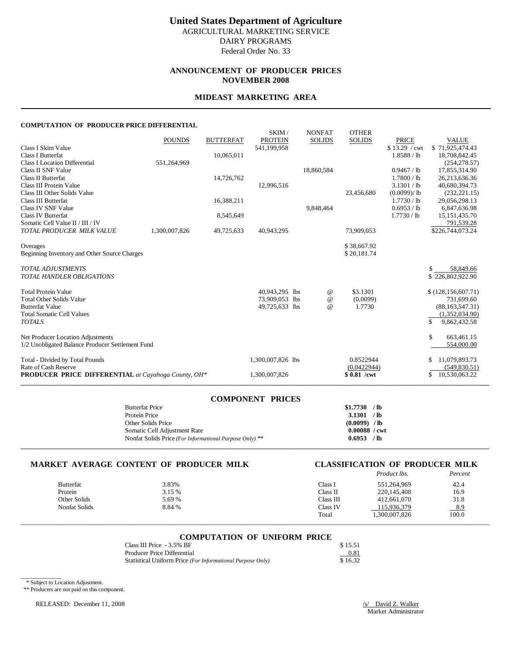# **ANNOUNCEMENT OF PRODUCER PRICES NOVEMBER 2008**

# **MIDEAST MARKETING AREA**

### **COMPUTATION OF PRODUCER PRICE DIFFERENTIAL**

|                                                            | <b>POUNDS</b> | <b>BUTTERFAT</b> | SKIM/<br><b>PROTEIN</b> | <b>NONFAT</b><br><b>SOLIDS</b> | <b>OTHER</b><br><b>SOLIDS</b> | <b>PRICE</b>  | <b>VALUE</b>         |
|------------------------------------------------------------|---------------|------------------|-------------------------|--------------------------------|-------------------------------|---------------|----------------------|
| Class I Skim Value                                         |               |                  | 541,199,958             |                                |                               | \$13.29 / cwt | \$71.925.474.43      |
| <b>Class I Butterfat</b>                                   |               | 10,065,011       |                         |                                |                               | 1.8588 / lb   | 18,708,842.45        |
| <b>Class I Location Differential</b>                       | 551,264,969   |                  |                         |                                |                               |               | (254, 278.57)        |
| Class II SNF Value                                         |               |                  |                         | 18,860,584                     |                               | 0.9467 / lb   | 17,855,314.90        |
| Class II Butterfat                                         |               | 14,726,762       |                         |                                |                               | 1.7800 / lb   | 26,213,636.36        |
| Class III Protein Value                                    |               |                  | 12,996,516              |                                |                               | 3.1301 / lb   | 40,680,394.73        |
| Class III Other Solids Value                               |               |                  |                         |                                | 23,456,680                    | (0.0099)/lb   | (232, 221.15)        |
| Class III Butterfat                                        |               | 16,388,211       |                         |                                |                               | 1.7730 / lb   | 29,056,298.13        |
| Class IV SNF Value                                         |               |                  |                         | 9.848.464                      |                               | 0.6953 / lb   | 6,847,636.98         |
| Class IV Butterfat                                         |               | 8,545,649        |                         |                                |                               | 1.7730 / lb   | 15, 151, 435. 70     |
| Somatic Cell Value II / III / IV                           |               |                  |                         |                                |                               |               | 791,539.28           |
| TOTAL PRODUCER MILK VALUE                                  | 1,300,007,826 | 49,725,633       | 40,943,295              |                                | 73,909,053                    |               | \$226,744,073.24     |
| Overages                                                   |               |                  |                         |                                | \$38,667.92                   |               |                      |
| Beginning Inventory and Other Source Charges               |               |                  |                         |                                | \$20,181.74                   |               |                      |
| <b>TOTAL ADJUSTMENTS</b>                                   |               |                  |                         |                                |                               |               | \$<br>58,849.66      |
| <b>TOTAL HANDLER OBLIGATIONS</b>                           |               |                  |                         |                                |                               |               | \$226,802,922.90     |
| <b>Total Protein Value</b>                                 |               |                  | 40.943.295 lbs          | $^{\,a}$                       | \$3.1301                      |               | \$(128, 156, 607.71) |
| <b>Total Other Solids Value</b>                            |               |                  | 73,909,053 lbs          | $^{\copyright}$                | (0.0099)                      |               | 731,699.60           |
| <b>Butterfat Value</b>                                     |               |                  | 49,725,633 lbs          | $^{\omega}{}$                  | 1.7730                        |               | (88, 163, 547, 31)   |
| <b>Total Somatic Cell Values</b>                           |               |                  |                         |                                |                               |               | (1,352,034.90)       |
| <b>TOTALS</b>                                              |               |                  |                         |                                |                               |               | \$<br>9,862,432.58   |
| Net Producer Location Adjustments                          |               |                  |                         |                                |                               |               | \$<br>663,461.15     |
| 1/2 Unobligated Balance Producer Settlement Fund           |               |                  |                         |                                |                               |               | 554,000.00           |
| Total - Divided by Total Pounds                            |               |                  | 1,300,007,826 lbs       |                                | 0.8522944                     |               | 11,079,893.73<br>\$  |
| Rate of Cash Reserve                                       |               |                  |                         |                                | (0.0422944)                   |               | (549, 830.51)        |
| <b>PRODUCER PRICE DIFFERENTIAL</b> at Cuyahoga County, OH* |               |                  | 1,300,007,826           |                                | \$0.81 /cwt                   |               | 10,530,063.22<br>\$. |
|                                                            |               |                  |                         |                                |                               |               |                      |

| <b>COMPONENT PRICES</b>                                 |                        |
|---------------------------------------------------------|------------------------|
| <b>Butterfat Price</b>                                  | $$1.7730$ /lb          |
| Protein Price                                           | 3.1301 / lb            |
| Other Solids Price                                      | $(0.0099)$ /lb         |
| Somatic Cell Adjustment Rate                            | $0.00088 / \text{cwt}$ |
| Nonfat Solids Price (For Informational Purpose Only) ** | $0.6953$ /lb           |
|                                                         |                        |

### **MARKET AVERAGE CONTENT OF PRODUCER MILK CLASSIFICATION OF PRODUCER MILK**

# *Product lbs. Percent*

| <b>Butterfat</b> | 3.83%  | Class 1   | 551,264,969   | 42.4   |
|------------------|--------|-----------|---------------|--------|
| Protein          | 3.15 % | Class II  | 220,145,408   | 16.9   |
| Other Solids     | 5.69 % | Class III | 412.661.070   | 31.8   |
| Nonfat Solids    | 8.84 % | Class IV  | 115,936,379   | $-8.9$ |
|                  |        | Total     | 1,300,007,826 | 100.0  |
|                  |        |           |               |        |

# \_\_\_\_\_\_\_\_\_\_\_\_\_\_\_\_\_\_\_\_\_\_\_\_\_\_\_\_\_\_\_\_\_\_\_\_\_\_\_\_\_\_\_\_\_\_\_\_\_\_\_\_\_\_\_\_\_\_\_\_\_\_\_\_\_\_\_\_\_\_\_\_\_\_\_\_\_\_\_\_\_\_\_\_\_\_\_\_\_\_\_\_\_\_\_\_\_\_\_\_\_\_\_\_\_\_\_\_\_\_\_\_\_\_\_\_\_\_\_\_\_\_\_\_\_\_\_\_\_\_\_\_\_\_\_\_\_\_\_ **COMPUTATION OF UNIFORM PRICE**

| Class III Price - 3.5% BF                                  | \$15.51 |
|------------------------------------------------------------|---------|
| Producer Price Differential                                | 0.81    |
| Statistical Uniform Price (For Informational Purpose Only) | \$16.32 |

\* Subject to Location Adjustment.

\_\_\_\_\_\_\_\_\_\_\_\_

\*\* Producers are not paid on this component.

RELEASED: December 11, 2008